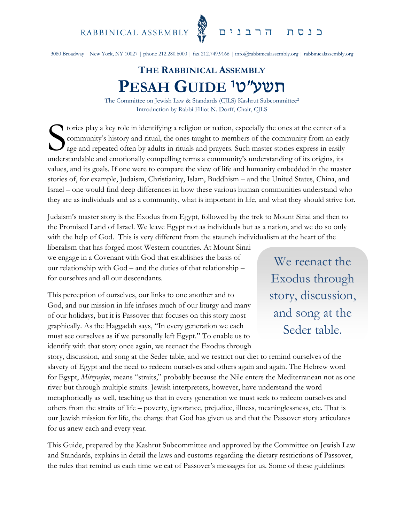RABBINICAL ASSEMBLY



3080 Broadway | New York, NY 10027 | phone 212.280.6000 | fax 212.749.9166 | info@rabbinicalassembly.org | rabbinicalassembly.org

# **THE RABBINICAL ASSEMBLY**  תשע"ט<sup>1</sup> **GUIDE PESAH**

The Committee on Jewish Law & Standards (CJLS) Kashrut Subcommittee<sup>2</sup> Introduction by Rabbi Elliot N. Dorff, Chair, CJLS

tories play a key role in identifying a religion or nation, especially the ones at the center of a community's history and ritual, the ones taught to members of the community from an early age and repeated often by adults in rituals and prayers. Such master stories express in easily understandable and emotionally compelling terms a community's understanding of its origins, its values, and its goals. If one were to compare the view of life and humanity embedded in the master stories of, for example, Judaism, Christianity, Islam, Buddhism – and the United States, China, and Israel – one would find deep differences in how these various human communities understand who they are as individuals and as a community, what is important in life, and what they should strive for. S

Judaism's master story is the Exodus from Egypt, followed by the trek to Mount Sinai and then to the Promised Land of Israel. We leave Egypt not as individuals but as a nation, and we do so only with the help of God. This is very different from the staunch individualism at the heart of the

liberalism that has forged most Western countries. At Mount Sinai we engage in a Covenant with God that establishes the basis of our relationship with God – and the duties of that relationship – for ourselves and all our descendants.

This perception of ourselves, our links to one another and to God, and our mission in life infuses much of our liturgy and many of our holidays, but it is Passover that focuses on this story most graphically. As the Haggadah says, "In every generation we each must see ourselves as if we personally left Egypt." To enable us to identify with that story once again, we reenact the Exodus through

We reenact the Exodus through story, discussion, and song at the Seder table.

story, discussion, and song at the Seder table, and we restrict our diet to remind ourselves of the slavery of Egypt and the need to redeem ourselves and others again and again. The Hebrew word for Egypt, *Mitzrayim*, means "straits," probably because the Nile enters the Mediterranean not as one river but through multiple straits. Jewish interpreters, however, have understand the word metaphorically as well, teaching us that in every generation we must seek to redeem ourselves and others from the straits of life – poverty, ignorance, prejudice, illness, meaninglessness, etc. That is our Jewish mission for life, the charge that God has given us and that the Passover story articulates for us anew each and every year.

This Guide, prepared by the Kashrut Subcommittee and approved by the Committee on Jewish Law and Standards, explains in detail the laws and customs regarding the dietary restrictions of Passover, the rules that remind us each time we eat of Passover's messages for us. Some of these guidelines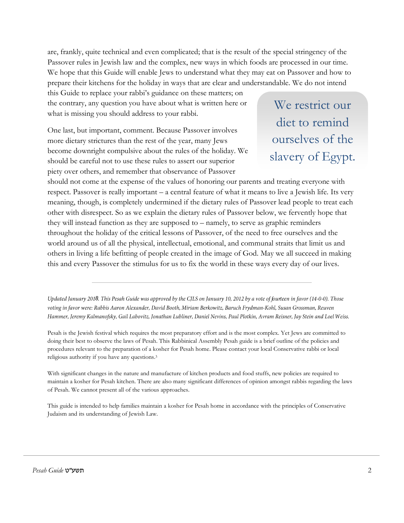are, frankly, quite technical and even complicated; that is the result of the special stringency of the Passover rules in Jewish law and the complex, new ways in which foods are processed in our time. We hope that this Guide will enable Jews to understand what they may eat on Passover and how to prepare their kitchens for the holiday in ways that are clear and understandable. We do not intend

this Guide to replace your rabbi's guidance on these matters; on the contrary, any question you have about what is written here or what is missing you should address to your rabbi.

One last, but important, comment. Because Passover involves more dietary strictures than the rest of the year, many Jews become downright compulsive about the rules of the holiday. We should be careful not to use these rules to assert our superior piety over others, and remember that observance of Passover

We restrict our diet to remind ourselves of the slavery of Egypt.

should not come at the expense of the values of honoring our parents and treating everyone with respect. Passover is really important – a central feature of what it means to live a Jewish life. Its very meaning, though, is completely undermined if the dietary rules of Passover lead people to treat each other with disrespect. So as we explain the dietary rules of Passover below, we fervently hope that they will instead function as they are supposed to – namely, to serve as graphic reminders throughout the holiday of the critical lessons of Passover, of the need to free ourselves and the world around us of all the physical, intellectual, emotional, and communal straits that limit us and others in living a life befitting of people created in the image of God. May we all succeed in making this and every Passover the stimulus for us to fix the world in these ways every day of our lives.

Updated January 2018. This Pesah Guide was approved by the CJLS on January 10, 2012 by a vote of fourteen in favor (14-0-0). Those voting in favor were: Rabbis Aaron Alexander, David Booth, Miriam Berkowitz, Baruch Frydman-Kohl, Susan Grossman, Reuven Hammer, Jeremy Kalmanofsky, Gail Labovitz, Jonathan Lubliner, Daniel Nevins, Paul Plotkin, Avram Reisner, Jay Stein and Loel Weiss.

Pesah is the Jewish festival which requires the most preparatory effort and is the most complex. Yet Jews are committed to doing their best to observe the laws of Pesah. This Rabbinical Assembly Pesah guide is a brief outline of the policies and procedures relevant to the preparation of a kosher for Pesah home. Please contact your local Conservative rabbi or local religious authority if you have any questions.<sup>3</sup>

With significant changes in the nature and manufacture of kitchen products and food stuffs, new policies are required to maintain a kosher for Pesah kitchen. There are also many significant differences of opinion amongst rabbis regarding the laws of Pesah. We cannot present all of the various approaches.

This guide is intended to help families maintain a kosher for Pesah home in accordance with the principles of Conservative Judaism and its understanding of Jewish Law.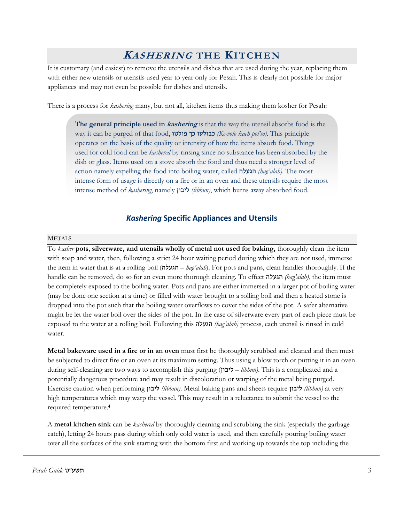# **<sup>K</sup>ASHERING THE KITCHEN**

It is customary (and easiest) to remove the utensils and dishes that are used during the year, replacing them with either new utensils or utensils used year to year only for Pesah. This is clearly not possible for major appliances and may not even be possible for dishes and utensils.

There is a process for *kashering* many, but not all, kitchen items thus making them kosher for Pesah:

**The general principle used in kashering** is that the way the utensil absorbs food is the way it can be purged of that food, פולטו כך כבולעו*) Ke-volo kach pol'to)*. This principle operates on the basis of the quality or intensity of how the items absorb food. Things used for cold food can be *kashered* by rinsing since no substance has been absorbed by the dish or glass. Items used on a stove absorb the food and thus need a stronger level of action namely expelling the food into boiling water, called הגעלה*) hag'alah)*. The most intense form of usage is directly on a fire or in an oven and these utensils require the most intense method of *kashering*, namely ליבון*) libbun)*, which burns away absorbed food.

## *Kashering* **Specific Appliances and Utensils**

## METALS

To *kasher* **pots**, **silverware, and utensils wholly of metal not used for baking,** thoroughly clean the item with soap and water, then, following a strict 24 hour waiting period during which they are not used, immerse the item in water that is at a rolling boil (הגעלה – *hag'alah*). For pots and pans, clean handles thoroughly. If the handle can be removed, do so for an even more thorough cleaning. To effect הגעלה*) hag'alah)*, the item must be completely exposed to the boiling water. Pots and pans are either immersed in a larger pot of boiling water (may be done one section at a time) or filled with water brought to a rolling boil and then a heated stone is dropped into the pot such that the boiling water overflows to cover the sides of the pot. A safer alternative might be let the water boil over the sides of the pot. In the case of silverware every part of each piece must be exposed to the water at a rolling boil. Following this הגעלה*) hag'alah)* process, each utensil is rinsed in cold water.

**Metal bakeware used in a fire or in an oven** must first be thoroughly scrubbed and cleaned and then must be subjected to direct fire or an oven at its maximum setting. Thus using a blow torch or putting it in an oven during self-cleaning are two ways to accomplish this purging (ליבון *– libbun)*. This is a complicated and a potentially dangerous procedure and may result in discoloration or warping of the metal being purged. Exercise caution when performing ליבון*) libbun)*. Metal baking pans and sheets require ליבון*) libbun)* at very high temperatures which may warp the vessel. This may result in a reluctance to submit the vessel to the required temperature.**<sup>4</sup>**

A **metal kitchen sink** can be *kashered* by thoroughly cleaning and scrubbing the sink (especially the garbage catch), letting 24 hours pass during which only cold water is used, and then carefully pouring boiling water over all the surfaces of the sink starting with the bottom first and working up towards the top including the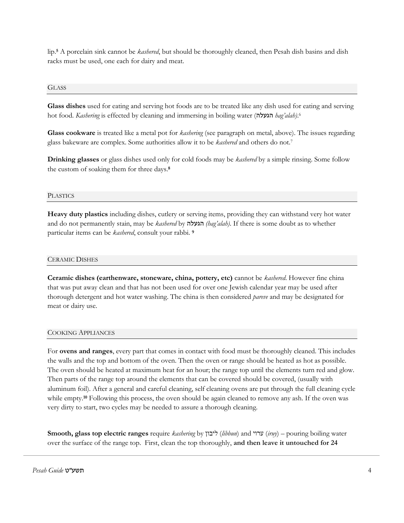lip. **<sup>5</sup>** A porcelain sink cannot be *kashered*, but should be thoroughly cleaned, then Pesah dish basins and dish racks must be used, one each for dairy and meat.

#### **GLASS**

**Glass dishes** used for eating and serving hot foods are to be treated like any dish used for eating and serving hot food. *Kashering* is effected by cleaning and immersing in boiling water (הגעלה *hag'alah)*. 6

**Glass cookware** is treated like a metal pot for *kashering* (see paragraph on metal, above). The issues regarding glass bakeware are complex. Some authorities allow it to be *kashered* and others do not.<sup>7</sup>

**Drinking glasses** or glass dishes used only for cold foods may be *kashered* by a simple rinsing. Some follow the custom of soaking them for three days.**<sup>8</sup>**

#### **PLASTICS**

**Heavy duty plastics** including dishes, cutlery or serving items, providing they can withstand very hot water and do not permanently stain, may be *kashered* by הגעלה*) hag'alah)*. If there is some doubt as to whether particular items can be *kashered*, consult your rabbi. **<sup>9</sup>**

#### CERAMIC DISHES

**Ceramic dishes (earthenware, stoneware, china, pottery, etc)** cannot be *kashered*. However fine china that was put away clean and that has not been used for over one Jewish calendar year may be used after thorough detergent and hot water washing. The china is then considered *pareve* and may be designated for meat or dairy use.

#### COOKING APPLIANCES

For **ovens and ranges**, every part that comes in contact with food must be thoroughly cleaned. This includes the walls and the top and bottom of the oven. Then the oven or range should be heated as hot as possible. The oven should be heated at maximum heat for an hour; the range top until the elements turn red and glow. Then parts of the range top around the elements that can be covered should be covered, (usually with aluminum foil). After a general and careful cleaning, self cleaning ovens are put through the full cleaning cycle while empty.<sup>10</sup> Following this process, the oven should be again cleaned to remove any ash. If the oven was very dirty to start, two cycles may be needed to assure a thorough cleaning.

**Smooth, glass top electric ranges** require *kashering* by ליבון) *libbun*) and ערוי) *iruy*) – pouring boiling water over the surface of the range top. First, clean the top thoroughly, **and then leave it untouched for 24**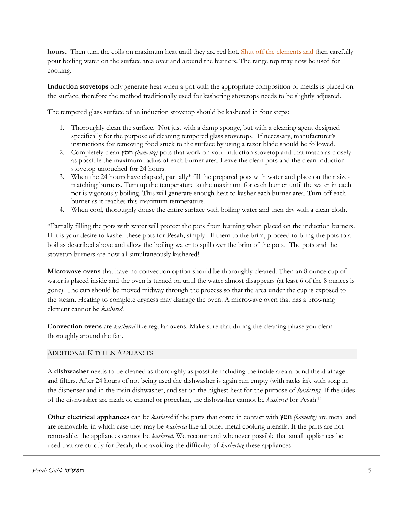**hours.** Then turn the coils on maximum heat until they are red hot. Shut off the elements and then carefully pour boiling water on the surface area over and around the burners. The range top may now be used for cooking.

**Induction stovetops** only generate heat when a pot with the appropriate composition of metals is placed on the surface, therefore the method traditionally used for kashering stovetops needs to be slightly adjusted.

The tempered glass surface of an induction stovetop should be kashered in four steps:

- 1. Thoroughly clean the surface. Not just with a damp sponge, but with a cleaning agent designed specifically for the purpose of cleaning tempered glass stovetops. If necessary, manufacturer's instructions for removing food stuck to the surface by using a razor blade should be followed.
- 2. Completely clean חמץ*) hameitz)* pots that work on your induction stovetop and that match as closely as possible the maximum radius of each burner area. Leave the clean pots and the clean induction stovetop untouched for 24 hours.
- 3. When the 24 hours have elapsed, partially\* fill the prepared pots with water and place on their sizematching burners. Turn up the temperature to the maximum for each burner until the water in each pot is vigorously boiling. This will generate enough heat to kasher each burner area. Turn off each burner as it reaches this maximum temperature.
- 4. When cool, thoroughly douse the entire surface with boiling water and then dry with a clean cloth.

\*Partially filling the pots with water will protect the pots from burning when placed on the induction burners. If it is your desire to kasher these pots for Pesah, simply fill them to the brim, proceed to bring the pots to a boil as described above and allow the boiling water to spill over the brim of the pots. The pots and the stovetop burners are now all simultaneously kashered!

**Microwave ovens** that have no convection option should be thoroughly cleaned. Then an 8 ounce cup of water is placed inside and the oven is turned on until the water almost disappears (at least 6 of the 8 ounces is gone). The cup should be moved midway through the process so that the area under the cup is exposed to the steam. Heating to complete dryness may damage the oven. A microwave oven that has a browning element cannot be *kashered*.

**Convection ovens** are *kashered* like regular ovens. Make sure that during the cleaning phase you clean thoroughly around the fan.

## ADDITIONAL KITCHEN APPLIANCES

A **dishwasher** needs to be cleaned as thoroughly as possible including the inside area around the drainage and filters. After 24 hours of not being used the dishwasher is again run empty (with racks in), with soap in the dispenser and in the main dishwasher, and set on the highest heat for the purpose of *kashering*. If the sides of the dishwasher are made of enamel or porcelain, the dishwasher cannot be *kashered* for Pesah.<sup>11</sup>

**Other electrical appliances** can be *kashered* if the parts that come in contact with חמץ*) hameitz)* are metal and are removable, in which case they may be *kashered* like all other metal cooking utensils. If the parts are not removable, the appliances cannot be *kashered*. We recommend whenever possible that small appliances be used that are strictly for Pesah, thus avoiding the difficulty of *kashering* these appliances.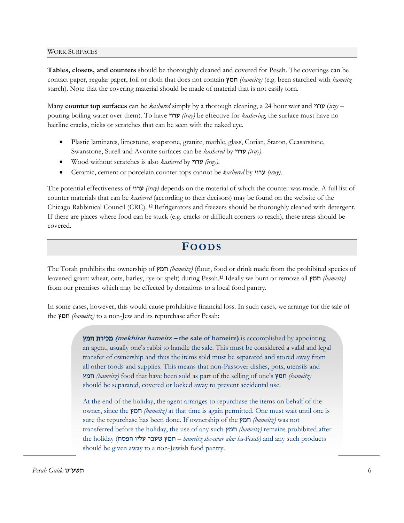#### WORK SURFACES

**Tables, closets, and counters** should be thoroughly cleaned and covered for Pesah. The coverings can be contact paper, regular paper, foil or cloth that does not contain חמץ*) hameitz)* (e.g. been starched with *hameitz* starch). Note that the covering material should be made of material that is not easily torn.

Many **counter top surfaces** can be *kashered* simply by a thorough cleaning, a 24 hour wait and ערוי) *iruy* – pouring boiling water over them). To have ערוי*) iruy)* be effective for *kashering*, the surface must have no hairline cracks, nicks or scratches that can be seen with the naked eye.

- Plastic laminates, limestone, soapstone, granite, marble, glass, Corian, Staron, Ceasarstone, Swanstone, Surell and Avonite surfaces can be *kashered* by ערוי*) iruy)*.
- Wood without scratches is also *kashered* by ערוי*) iruy)*.
- Ceramic, cement or porcelain counter tops cannot be *kashered* by ערוי*) iruy)*.

The potential effectiveness of ערוי*) iruy)* depends on the material of which the counter was made. A full list of counter materials that can be *kashered* (according to their decisors) may be found on the website of the Chicago Rabbinical Council (CRC). **<sup>12</sup>** Refrigerators and freezers should be thoroughly cleaned with detergent. If there are places where food can be stuck (e.g. cracks or difficult corners to reach), these areas should be covered.

## **FOODS**

The Torah prohibits the ownership of חמץ*) hameitz)* (flour, food or drink made from the prohibited species of leavened grain: wheat, oats, barley, rye or spelt) during Pesah. **<sup>13</sup>** Ideally we burn or remove all חמץ*) hameitz)* from our premises which may be effected by donations to a local food pantry.

In some cases, however, this would cause prohibitive financial loss. In such cases, we arrange for the sale of the חמץ*) hameitz)* to a non-Jew and its repurchase after Pesah:

> חמץ מכירת**) mekhirat hameitz – the sale of hameitz)** is accomplished by appointing an agent, usually one's rabbi to handle the sale. This must be considered a valid and legal transfer of ownership and thus the items sold must be separated and stored away from all other foods and supplies. This means that non-Passover dishes, pots, utensils and חמץ*) hameitz)* food that have been sold as part of the selling of one's חמץ*) hameitz)* should be separated, covered or locked away to prevent accidental use.

> **Prohibited foods** the holiday (הפסח עליו שעבר חמץ – *hameitz she-avar alav ha-Pesah)* and any such products At the end of the holiday, the agent arranges to repurchase the items on behalf of the owner, since the חמץ*) hameitz)* at that time is again permitted. One must wait until one is sure the repurchase has been done. If ownership of the חמץ*) hameitz)* was not transferred before the holiday, the use of any such חמץ*) hameitz)* remains prohibited after should be given away to a non-Jewish food pantry.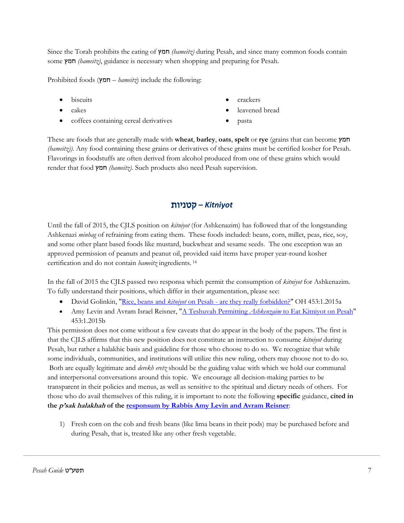Since the Torah prohibits the eating of חמץ*) hameitz)* during Pesah, and since many common foods contain some חמץ*) hameitz)*, guidance is necessary when shopping and preparing for Pesah.

Prohibited foods (חמץ – *hameitz*) include the following:

- **biscuits**
- cakes
- coffees containing cereal derivatives
- crackers
- leavened bread
- pasta

These are foods that are generally made with **wheat**, **barley**, **oats**, **spelt** or **rye** (grains that can become חמץ *(hameitz)*). Any food containing these grains or derivatives of these grains must be certified kosher for Pesah. Flavorings in foodstuffs are often derived from alcohol produced from one of these grains which would render that food חמץ*) hameitz)*. Such products also need Pesah supervision.

## *Kitniyot* **–** קטניות

Until the fall of 2015, the CJLS position on *kitniyot* (for Ashkenazim) has followed that of the longstanding Ashkenazi *minhag* of refraining from eating them. These foods included: beans, corn, millet, peas, rice, soy, and some other plant based foods like mustard, buckwheat and sesame seeds. The one exception was an approved permission of peanuts and peanut oil, provided said items have proper year-round kosher certification and do not contain *hameitz* ingredients. <sup>14</sup>

In the fall of 2015 the CJLS passed two responsa which permit the consumption of *kitniyot* for Ashkenazim. To fully understand their positions, which differ in their argumentation, please see:

- David Golinkin, "Rice, beans and *kitniyot* on Pesah [are they really forbidden?"](http://www.rabbinicalassembly.org/sites/default/files/public/halakhah/teshuvot/2011-2020/Golinkin-Kitniyot.pdf) OH 453:1.2015a
- Amy Levin and Avram Israel Reisner, "A Teshuvah Permitting *Ashkenzaim* [to Eat Kitniyot on Pesah"](http://www.rabbinicalassembly.org/sites/default/files/public/halakhah/teshuvot/2011-2020/Levin-Reisner-Kitniyot.pdf) 453:1.2015b

This permission does not come without a few caveats that do appear in the body of the papers. The first is that the CJLS affirms that this new position does not constitute an instruction to consume *kitniyot* during Pesah, but rather a halakhic basis and guideline for those who choose to do so*.* We recognize that while some individuals, communities, and institutions will utilize this new ruling, others may choose not to do so. Both are equally legitimate and *derekh eretz* should be the guiding value with which we hold our communal and interpersonal conversations around this topic. We encourage all decision-making parties to be transparent in their policies and menus, as well as sensitive to the spiritual and dietary needs of others. For those who do avail themselves of this ruling, it is important to note the following **specific** guidance, **cited in the <sup>p</sup>'sak halakhah of the [responsum by Rabbis Amy Levin and Avram Reisner](http://www.rabbinicalassembly.org/sites/default/files/public/halakhah/teshuvot/2011-2020/Levin-Reisner-Kitniyot.pdf)**:

1) Fresh corn on the cob and fresh beans (like lima beans in their pods) may be purchased before and during Pesah, that is, treated like any other fresh vegetable.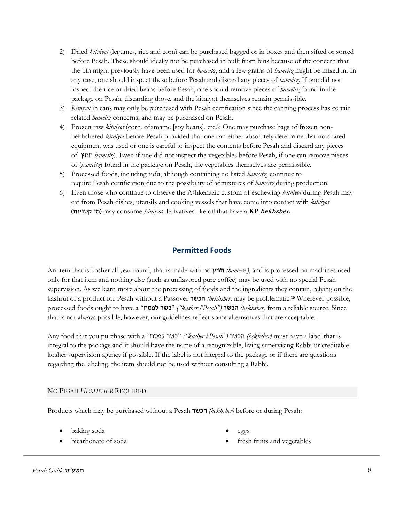- 2) Dried *kitniyot* (legumes, rice and corn) can be purchased bagged or in boxes and then sifted or sorted before Pesah. These should ideally not be purchased in bulk from bins because of the concern that the bin might previously have been used for *hameitz*, and a few grains of *hameitz* might be mixed in. In any case, one should inspect these before Pesah and discard any pieces of *hameitz*. If one did not inspect the rice or dried beans before Pesah, one should remove pieces of *hameitz* found in the package on Pesah, discarding those, and the kitniyot themselves remain permissible.
- 3) *Kitniyot* in cans may only be purchased with Pesah certification since the canning process has certain related *hameitz* concerns, and may be purchased on Pesah.
- 4) Frozen raw *kitniyot* (corn, edamame [soy beans], etc.): One may purchase bags of frozen nonhekhshered *kitniyot* before Pesah provided that one can either absolutely determine that no shared equipment was used or one is careful to inspect the contents before Pesah and discard any pieces of חמץ *hameitz*). Even if one did not inspect the vegetables before Pesah, if one can remove pieces of (*hameitz*) found in the package on Pesah, the vegetables themselves are permissible.
- 5) Processed foods, including tofu, although containing no listed *hameitz*, continue to require Pesah certification due to the possibility of admixtures of *hameitz* during production.
- 6) Even those who continue to observe the Ashkenazic custom of eschewing *kitniyot* during Pesah may eat from Pesah dishes, utensils and cooking vessels that have come into contact with *kitniyot* )קטניות מי )may consume *kitniyot* derivatives like oil that have a **KP hekhsher.**

## **Permitted Foods**

An item that is kosher all year round, that is made with no חמץ*) hameitz)*, and is processed on machines used only for that item and nothing else (such as unflavored pure coffee) may be used with no special Pesah supervision. As we learn more about the processing of foods and the ingredients they contain, relying on the kashrut of a product for Pesah without a Passover הכשר*) hekhsher)* may be problematic.**<sup>15</sup>** Wherever possible, processed foods ought to have a "לפסח כשר*")* "*kasher l'Pesah")* הכשר*) hekhsher)* from a reliable source. Since that is not always possible, however, our guidelines reflect some alternatives that are acceptable.

Any food that you purchase with a "לפסח כשר*")* "*kasher l'Pesah")* הכשר*) hekhsher)* must have a label that is integral to the package and it should have the name of a recognizable, living supervising Rabbi or creditable kosher supervision agency if possible. If the label is not integral to the package or if there are questions regarding the labeling, the item should not be used without consulting a Rabbi.

## NO PESAH *HEKHSHER* REQUIRED

Products which may be purchased without a Pesah הכשר*) hekhsher)* before or during Pesah:

- baking soda
- bicarbonate of soda
- eggs
- fresh fruits and vegetables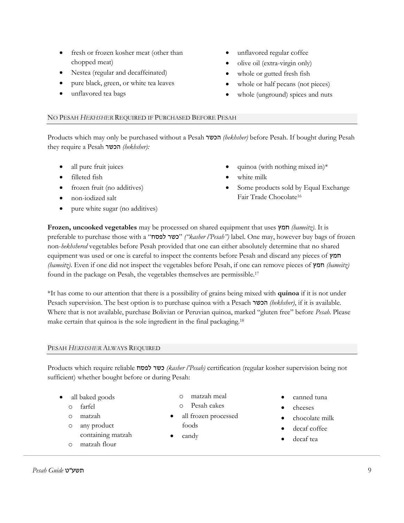- fresh or frozen kosher meat (other than chopped meat)
- Nestea (regular and decaffeinated)
- pure black, green, or white tea leaves
- unflavored tea bags
- unflavored regular coffee
- olive oil (extra-virgin only)
- whole or gutted fresh fish
- whole or half pecans (not pieces)
- whole (unground) spices and nuts

## NO PESAH *HEKHSHER* REQUIRED IF PURCHASED BEFORE PESAH

Products which may only be purchased without a Pesah הכשר*) hekhsher)* before Pesah. If bought during Pesah they require a Pesah הכשר*) hekhsher):*

- all pure fruit juices
- filleted fish
- frozen fruit (no additives)
- non-iodized salt
- pure white sugar (no additives)
- quinoa (with nothing mixed in) $*$
- white milk
- Some products sold by Equal Exchange Fair Trade Chocolate<sup>16</sup>

**Frozen, uncooked vegetables** may be processed on shared equipment that uses חמץ*) hameitz)*. It is preferable to purchase those with a "לפסח כשר*")* "*kasher l'Pesah")* label. One may, however buy bags of frozen non-*hekhshered* vegetables before Pesah provided that one can either absolutely determine that no shared equipment was used or one is careful to inspect the contents before Pesah and discard any pieces of חמץ *(hameitz)*. Even if one did not inspect the vegetables before Pesah, if one can remove pieces of חמץ*) hameitz)* found in the package on Pesah, the vegetables themselves are permissible. 17

\*It has come to our attention that there is a possibility of grains being mixed with **quinoa** if it is not under Pesach supervision. The best option is to purchase quinoa with a Pesach הכשר*) hekhsher)*, if it is available. Where that is not available, purchase Bolivian or Peruvian quinoa, marked "gluten free" before *Pesah*. Please make certain that quinoa is the sole ingredient in the final packaging.<sup>18</sup>

## PESAH *HEKHSHER* ALWAYS REQUIRED

Products which require reliable לפסח כשר*) kasher l'Pesah)* certification (regular kosher supervision being not sufficient) whether bought before or during Pesah:

- all baked goods
	- o farfel
	- o matzah
	- o any product
	- containing matzah
	- o matzah flour
- o matzah meal
- o Pesah cakes
- all frozen processed foods
- candy
- canned tuna
- cheeses
- chocolate milk
- decaf coffee
- decaf tea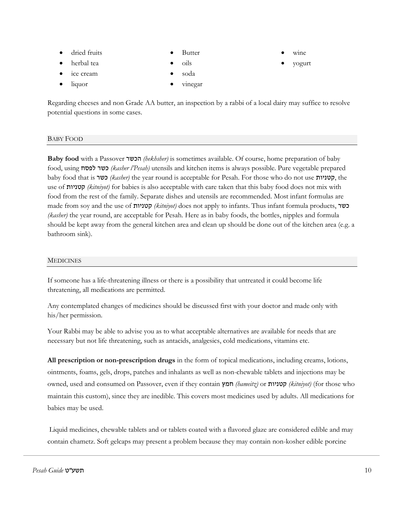- dried fruits
- herbal tea
- ice cream
	- liquor
- soda • vinegar

**Butter** • oils

- wine
- yogurt

Regarding cheeses and non Grade AA butter, an inspection by a rabbi of a local dairy may suffice to resolve potential questions in some cases.

## BABY FOOD

**Baby food** with a Passover הכשר*) hekhsher)* is sometimes available. Of course, home preparation of baby food, using לפסח כשר*) kasher l'Pesah)* utensils and kitchen items is always possible. Pure vegetable prepared baby food that is כשר*) kasher)* the year round is acceptable for Pesah. For those who do not use קטניות, the use of קטניות*) kitniyot)* for babies is also acceptable with care taken that this baby food does not mix with food from the rest of the family. Separate dishes and utensils are recommended. Most infant formulas are made from soy and the use of קטניות*) kitniyot)* does not apply to infants. Thus infant formula products, כשר *(kasher)* the year round, are acceptable for Pesah. Here as in baby foods, the bottles, nipples and formula should be kept away from the general kitchen area and clean up should be done out of the kitchen area (e.g. a bathroom sink).

## **MEDICINES**

If someone has a life-threatening illness or there is a possibility that untreated it could become life threatening, all medications are permitted.

Any contemplated changes of medicines should be discussed first with your doctor and made only with his/her permission.

Your Rabbi may be able to advise you as to what acceptable alternatives are available for needs that are necessary but not life threatening, such as antacids, analgesics, cold medications, vitamins etc.

**All prescription or non-prescription drugs** in the form of topical medications, including creams, lotions, ointments, foams, gels, drops, patches and inhalants as well as non-chewable tablets and injections may be owned, used and consumed on Passover, even if they contain חמץ*) hameitz)* or קטניות*) kitniyot)* (for those who maintain this custom), since they are inedible. This covers most medicines used by adults. All medications for babies may be used.

Liquid medicines, chewable tablets and or tablets coated with a flavored glaze are considered edible and may contain chametz. Soft gelcaps may present a problem because they may contain non-kosher edible porcine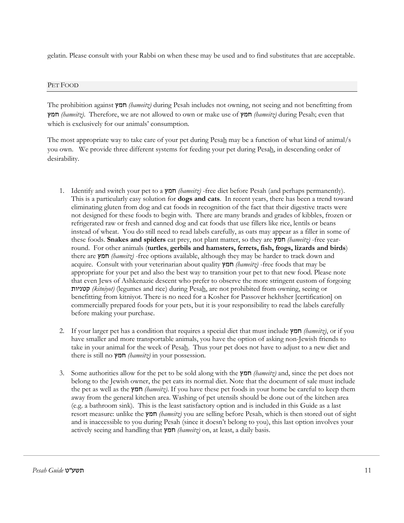gelatin. Please consult with your Rabbi on when these may be used and to find substitutes that are acceptable.

## PET FOOD

The prohibition against חמץ*) hameitz)* during Pesah includes not owning, not seeing and not benefitting from חמץ*) hameitz)*. Therefore, we are not allowed to own or make use of חמץ*) hameitz)* during Pesah; even that which is exclusively for our animals' consumption.

The most appropriate way to take care of your pet during Pesah may be a function of what kind of animal/s you own. We provide three different systems for feeding your pet during Pesah, in descending order of desirability.

- 1. Identify and switch your pet to a חמץ*) hameitz)* -free diet before Pesah (and perhaps permanently). This is a particularly easy solution for **dogs and cats**. In recent years, there has been a trend toward eliminating gluten from dog and cat foods in recognition of the fact that their digestive tracts were not designed for these foods to begin with. There are many brands and grades of kibbles, frozen or refrigerated raw or fresh and canned dog and cat foods that use fillers like rice, lentils or beans instead of wheat. You do still need to read labels carefully, as oats may appear as a filler in some of these foods. **Snakes and spiders** eat prey, not plant matter, so they are חמץ*) hameitz)* -free yearround. For other animals (**turtles**, **gerbils and hamsters, ferrets, fish, frogs, lizards and birds**) there are חמץ*) hameitz)* -free options available, although they may be harder to track down and acquire. Consult with your veterinarian about quality חמץ*) hameitz)* -free foods that may be appropriate for your pet and also the best way to transition your pet to that new food. Please note that even Jews of Ashkenazic descent who prefer to observe the more stringent custom of forgoing קטניות*) kitniyot)* (legumes and rice) during Pesah, are not prohibited from owning, seeing or benefitting from kitniyot. There is no need for a Kosher for Passover hekhsher [certification] on commercially prepared foods for your pets, but it is your responsibility to read the labels carefully before making your purchase.
- 2. If your larger pet has a condition that requires a special diet that must include חמץ*) hameitz)*, or if you have smaller and more transportable animals, you have the option of asking non-Jewish friends to take in your animal for the week of Pesah. Thus your pet does not have to adjust to a new diet and there is still no חמץ*) hameitz)* in your possession.
- 3. Some authorities allow for the pet to be sold along with the חמץ*) hameitz)* and, since the pet does not belong to the Jewish owner, the pet eats its normal diet. Note that the document of sale must include the pet as well as the חמץ*) hameitz)*. If you have these pet foods in your home be careful to keep them away from the general kitchen area. Washing of pet utensils should be done out of the kitchen area (e.g. a bathroom sink). This is the least satisfactory option and is included in this Guide as a last resort measure: unlike the חמץ*) hameitz)* you are selling before Pesah, which is then stored out of sight and is inaccessible to you during Pesah (since it doesn't belong to you), this last option involves your actively seeing and handling that חמץ*) hameitz)* on, at least, a daily basis.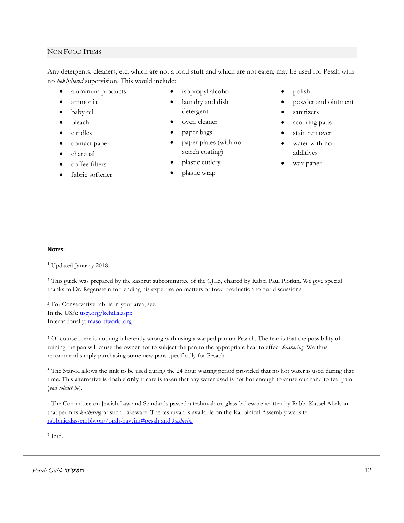#### NON FOOD ITEMS

Any detergents, cleaners, etc. which are not a food stuff and which are not eaten, may be used for Pesah with no *hekhshered* supervision. This would include:

- aluminum products
- ammonia
- baby oil
- bleach
- candles
- contact paper
- charcoal
- coffee filters
- fabric softener
- isopropyl alcohol
- laundry and dish detergent
- oven cleaner
- paper bags
- paper plates (with no starch coating)
- plastic cutlery
- plastic wrap
- polish
- powder and ointment
- sanitizers
- scouring pads
- stain remover
- water with no additives
- wax paper

#### **NOTES:**

 $\overline{a}$ 

<sup>1</sup> Updated January 2018

**<sup>2</sup>** This guide was prepared by the kashrut subcommittee of the CJLS, chaired by Rabbi Paul Plotkin. We give special thanks to Dr. Regenstein for lending his expertise on matters of food production to our discussions.

**<sup>3</sup>** For Conservative rabbis in your area, see: In the USA: [uscj.org/kehilla.aspx](http://www.uscj.org/kehilla.aspx) Internationally: [masortiworld.org](http://www.masortiworld.org/)

**<sup>4</sup>** Of course there is nothing inherently wrong with using a warped pan on Pesach. The fear is that the possibility of ruining the pan will cause the owner not to subject the pan to the appropriate heat to effect *kashering*. We thus recommend simply purchasing some new pans specifically for Pesach.

**<sup>5</sup>** The Star-K allows the sink to be used during the 24 hour waiting period provided that no hot water is used during that time. This alternative is doable **only** if care is taken that any water used is not hot enough to cause our hand to feel pain (*yad soledet bo*).

<sup>6</sup> The Committee on Jewish Law and Standards passed a teshuvah on glass bakeware written by Rabbi Kassel Abelson that permits *kashering* of such bakeware. The teshuvah is available on the Rabbinical Assembly website: [rabbinicalassembly.org/orah-hayyim#pesah and](http://www.rabbinicalassembly.org/orah-hayyim#pesah and kashering) *kashering*

**<sup>7</sup>** Ibid.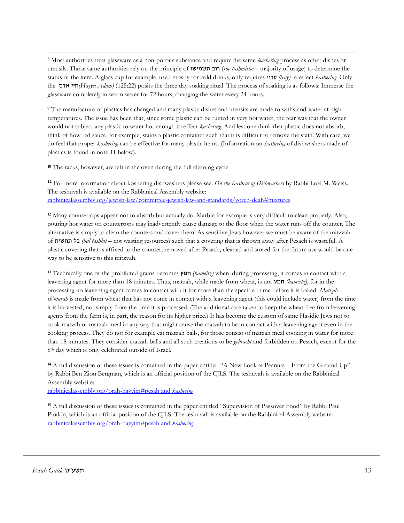$\overline{a}$ **<sup>8</sup>** Most authorities treat glassware as a non-porous substance and require the same *kashering* process as other dishes or utensils. Those same authorities rely on the principle of תשמישו רוב) *rov tashmisho* – majority of usage) to determine the status of the item. A glass cup for example, used mostly for cold drinks, only requires ערוי*) iruy)* to effect *kashering*. Only the אדם חיי*)Hayyei Adam)* (125:22) posits the three day soaking ritual. The process of soaking is as follows: Immerse the glassware completely in warm water for 72 hours, changing the water every 24 hours.

**<sup>9</sup>** The manufacture of plastics has changed and many plastic dishes and utensils are made to withstand water at high temperatures. The issue has been that, since some plastic can be ruined in very hot water, the fear was that the owner would not subject any plastic to water hot enough to effect *kashering*. And lest one think that plastic does not absorb, think of how red sauce, for example, stains a plastic container such that it is difficult to remove the stain. With care, we do feel that proper *kashering* can be effective for many plastic items. (Information on *kashering* of dishwashers made of plastics is found in note 11 below).

**<sup>10</sup>** The racks, however, are left in the oven during the full cleaning cycle.

<sup>11</sup> For more information about koshering dishwashers please see: *On the Kashrut of Dishwashers* by Rabbi Loel M. Weiss. The teshuvah is available on the Rabbinical Assembly website: [rabbinicalassembly.org/jewish-law/committee-jewish-law-and-standards/yoreh-deah#mixtures](http://www.rabbinicalassembly.org/jewish-law/committee-jewish-law-and-standards/yoreh-deah#mixtures)

**<sup>12</sup>** Many countertops appear not to absorb but actually do. Marble for example is very difficult to clean properly. Also, pouring hot water on countertops may inadvertently cause damage to the floor when the water runs off the counter. The alternative is simply to clean the counters and cover them. As sensitive Jews however we must be aware of the mitzvah of תחשית בל*) bal tashhit –* not wasting resources) such that a covering that is thrown away after Pesach is wasteful. A plastic covering that is affixed to the counter, removed after Pesach, cleaned and stored for the future use would be one way to be sensitive to this mitzvah.

**<sup>13</sup>** Technically one of the prohibited grains becomes חמץ*) hameitz)* when, during processing, it comes in contact with a leavening agent for more than 18 minutes. Thus, matzah, while made from wheat, is not חמץ*) hameitz)*, for in the processing no leavening agent comes in contact with it for more than the specified time before it is baked. *Matzah sh'murah* is made from wheat that has not come in contact with a leavening agent (this could include water) from the time it is harvested, not simply from the time it is processed. (The additional care taken to keep the wheat free from leavening agents from the farm is, in part, the reason for its higher price.) It has become the custom of same Hasidic Jews not to cook matzah or matzah meal in any way that might cause the matzah to be in contact with a leavening agent even in the cooking process. They do not for example eat matzah balls, for those consist of matzah meal cooking in water for more than 18 minutes. They consider matzah balls and all such creations to be *gebracht* and forbidden on Pesach, except for the 8<sup>th</sup> day which is only celebrated outside of Israel.

**<sup>14</sup>** A full discussion of these issues is contained in the paper entitled "A New Look at Peanuts—From the Ground Up" by Rabbi Ben Zion Bergman, which is an official position of the CJLS. The teshuvah is available on the Rabbinical Assembly website:

[rabbinicalassembly.org/orah-hayyim#pesah and](http://www.rabbinicalassembly.org/orah-hayyim#pesah and kashering) *kashering*

**<sup>15</sup>** A full discussion of these issues is contained in the paper entitled "Supervision of Passover Food" by Rabbi Paul Plotkin, which is an official position of the CJLS. The teshuvah is available on the Rabbinical Assembly website: [rabbinicalassembly.org/orah-hayyim#pesah and](http://www.rabbinicalassembly.org/orah-hayyim#pesah and kashering) *kashering*